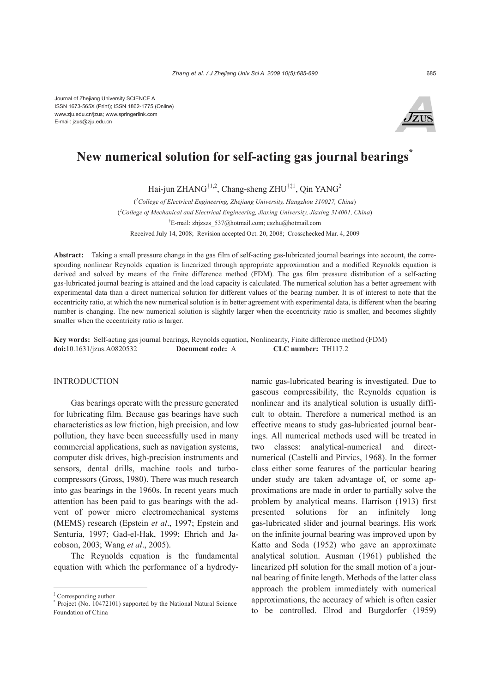

# **New numerical solution for self-acting gas journal bearings\***

Hai-jun ZHANG<sup>†1,2</sup>, Chang-sheng ZHU<sup>†‡1</sup>, Qin YANG<sup>2</sup>

( *1 College of Electrical Engineering, Zhejiang University, Hangzhou 310027, China*) ( *2 College of Mechanical and Electrical Engineering, Jiaxing University, Jiaxing 314001, China*) † E-mail: zhjzszs\_537@hotmail.com; cszhu@hotmail.com Received July 14, 2008; Revision accepted Oct. 20, 2008; Crosschecked Mar. 4, 2009

**Abstract:** Taking a small pressure change in the gas film of self-acting gas-lubricated journal bearings into account, the corresponding nonlinear Reynolds equation is linearized through appropriate approximation and a modified Reynolds equation is derived and solved by means of the finite difference method (FDM). The gas film pressure distribution of a self-acting gas-lubricated journal bearing is attained and the load capacity is calculated. The numerical solution has a better agreement with experimental data than a direct numerical solution for different values of the bearing number. It is of interest to note that the eccentricity ratio, at which the new numerical solution is in better agreement with experimental data, is different when the bearing number is changing. The new numerical solution is slightly larger when the eccentricity ratio is smaller, and becomes slightly smaller when the eccentricity ratio is larger.

**Key words:** Self-acting gas journal bearings, Reynolds equation, Nonlinearity, Finite difference method (FDM) **doi:**10.1631/jzus.A0820532 **Document code:** A **CLC number:** TH117.2

#### INTRODUCTION

Gas bearings operate with the pressure generated for lubricating film. Because gas bearings have such characteristics as low friction, high precision, and low pollution, they have been successfully used in many commercial applications, such as navigation systems, computer disk drives, high-precision instruments and sensors, dental drills, machine tools and turbocompressors (Gross, 1980). There was much research into gas bearings in the 1960s. In recent years much attention has been paid to gas bearings with the advent of power micro electromechanical systems (MEMS) research (Epstein *et al*., 1997; Epstein and Senturia, 1997; Gad-el-Hak, 1999; Ehrich and Jacobson, 2003; Wang *et al*., 2005).

The Reynolds equation is the fundamental equation with which the performance of a hydrodynamic gas-lubricated bearing is investigated. Due to gaseous compressibility, the Reynolds equation is nonlinear and its analytical solution is usually difficult to obtain. Therefore a numerical method is an effective means to study gas-lubricated journal bearings. All numerical methods used will be treated in two classes: analytical-numerical and directnumerical (Castelli and Pirvics, 1968). In the former class either some features of the particular bearing under study are taken advantage of, or some approximations are made in order to partially solve the problem by analytical means. Harrison (1913) first presented solutions for an infinitely long gas-lubricated slider and journal bearings. His work on the infinite journal bearing was improved upon by Katto and Soda (1952) who gave an approximate analytical solution. Ausman (1961) published the linearized pH solution for the small motion of a journal bearing of finite length. Methods of the latter class approach the problem immediately with numerical approximations, the accuracy of which is often easier to be controlled. Elrod and Burgdorfer (1959)

<sup>‡</sup> Corresponding author

<sup>\*</sup> Project (No. 10472101) supported by the National Natural Science Foundation of China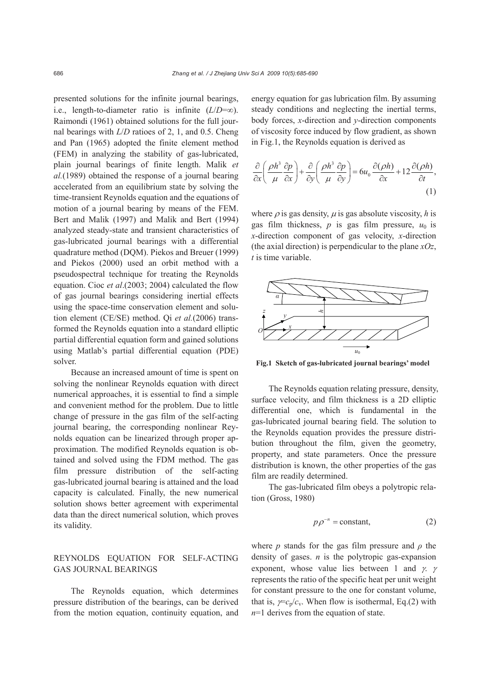presented solutions for the infinite journal bearings, i.e., length-to-diameter ratio is infinite  $(L/D=\infty)$ . Raimondi (1961) obtained solutions for the full journal bearings with *L*/*D* ratioes of 2, 1, and 0.5. Cheng and Pan (1965) adopted the finite element method (FEM) in analyzing the stability of gas-lubricated, plain journal bearings of finite length. Malik *et al.*(1989) obtained the response of a journal bearing accelerated from an equilibrium state by solving the time-transient Reynolds equation and the equations of motion of a journal bearing by means of the FEM. Bert and Malik (1997) and Malik and Bert (1994) analyzed steady-state and transient characteristics of gas-lubricated journal bearings with a differential quadrature method (DQM). Piekos and Breuer (1999) and Piekos (2000) used an orbit method with a pseudospectral technique for treating the Reynolds equation. Cioc *et al*.(2003; 2004) calculated the flow of gas journal bearings considering inertial effects using the space-time conservation element and solution element (CE/SE) method. Qi *et al.*(2006) transformed the Reynolds equation into a standard elliptic partial differential equation form and gained solutions using Matlab's partial differential equation (PDE) solver.

Because an increased amount of time is spent on solving the nonlinear Reynolds equation with direct numerical approaches, it is essential to find a simple and convenient method for the problem. Due to little change of pressure in the gas film of the self-acting journal bearing, the corresponding nonlinear Reynolds equation can be linearized through proper approximation. The modified Reynolds equation is obtained and solved using the FDM method. The gas film pressure distribution of the self-acting gas-lubricated journal bearing is attained and the load capacity is calculated. Finally, the new numerical solution shows better agreement with experimental data than the direct numerical solution, which proves its validity.

# REYNOLDS EQUATION FOR SELF-ACTING GAS JOURNAL BEARINGS

The Reynolds equation, which determines pressure distribution of the bearings, can be derived from the motion equation, continuity equation, and energy equation for gas lubrication film. By assuming steady conditions and neglecting the inertial terms, body forces, *x*-direction and *y*-direction components of viscosity force induced by flow gradient, as shown in Fig.1, the Reynolds equation is derived as

$$
\frac{\partial}{\partial x} \left( \frac{\rho h^3}{\mu} \frac{\partial p}{\partial x} \right) + \frac{\partial}{\partial y} \left( \frac{\rho h^3}{\mu} \frac{\partial p}{\partial y} \right) = 6u_0 \frac{\partial (\rho h)}{\partial x} + 12 \frac{\partial (\rho h)}{\partial t},\tag{1}
$$

where  $\rho$  is gas density,  $\mu$  is gas absolute viscosity, h is gas film thickness,  $p$  is gas film pressure,  $u_0$  is *x*-direction component of gas velocity, *x*-direction (the axial direction) is perpendicular to the plane *xOz*, *t* is time variable.



**Fig.1 Sketch of gas-lubricated journal bearings' model** *<sup>h</sup>*

The Reynolds equation relating pressure, density, surface velocity, and film thickness is a 2D elliptic differential one, which is fundamental in the gas-lubricated journal bearing field. The solution to the Reynolds equation provides the pressure distribution throughout the film, given the geometry, property, and state parameters. Once the pressure distribution is known, the other properties of the gas film are readily determined.

The gas-lubricated film obeys a polytropic relation (Gross, 1980)

$$
p\rho^{-n} = \text{constant},\tag{2}
$$

where *p* stands for the gas film pressure and  $\rho$  the density of gases. *n* is the polytropic gas-expansion exponent, whose value lies between 1 and  $\gamma$ . γ represents the ratio of the specific heat per unit weight for constant pressure to the one for constant volume, that is,  $\gamma = c_p/c_v$ . When flow is isothermal, Eq.(2) with *n*=1 derives from the equation of state.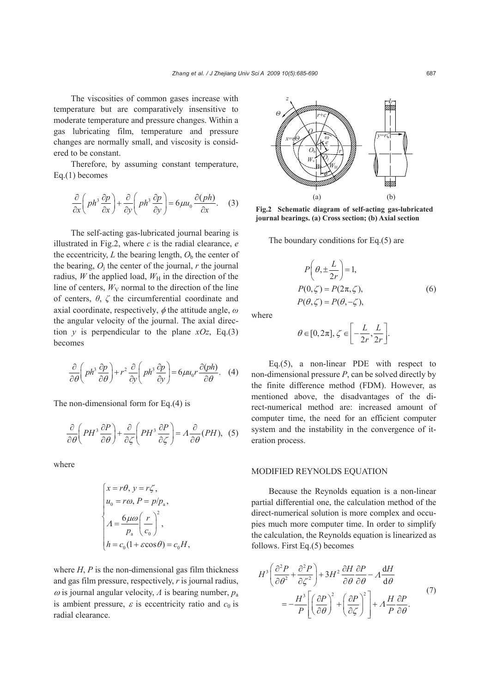The viscosities of common gases increase with temperature but are comparatively insensitive to moderate temperature and pressure changes. Within a gas lubricating film, temperature and pressure changes are normally small, and viscosity is considered to be constant.

Therefore, by assuming constant temperature, Eq.(1) becomes

$$
\frac{\partial}{\partial x}\left(ph^3\frac{\partial p}{\partial x}\right) + \frac{\partial}{\partial y}\left(ph^3\frac{\partial p}{\partial y}\right) = 6\mu u_0 \frac{\partial (ph)}{\partial x}.
$$
 (3)

The self-acting gas-lubricated journal bearing is illustrated in Fig.2, where *c* is the radial clearance, *e* the eccentricity,  $L$  the bearing length,  $O<sub>b</sub>$  the center of the bearing,  $O_i$  the center of the journal,  $r$  the journal radius, *W* the applied load,  $W_H$  in the direction of the line of centers,  $W_V$  normal to the direction of the line of centers, *θ*, *ζ* the circumferential coordinate and axial coordinate, respectively, φ the attitude angle, *ω* the angular velocity of the journal. The axial direction *y* is perpendicular to the plane  $xOz$ , Eq.(3) becomes

$$
\frac{\partial}{\partial \theta} \left( ph^3 \frac{\partial p}{\partial \theta} \right) + r^2 \frac{\partial}{\partial y} \left( ph^3 \frac{\partial p}{\partial y} \right) = 6 \mu u_0 r \frac{\partial (ph)}{\partial \theta}.
$$
 (4)

The non-dimensional form for Eq.(4) is

$$
\frac{\partial}{\partial \theta} \left( PH^3 \frac{\partial P}{\partial \theta} \right) + \frac{\partial}{\partial \zeta} \left( PH^3 \frac{\partial P}{\partial \zeta} \right) = A \frac{\partial}{\partial \theta} (PH), \tag{5}
$$

where

$$
\begin{cases}\nx = r\theta, \ y = r\zeta, \\
u_0 = r\omega, P = p/p_a, \\
A = \frac{6\mu\omega}{p_a} \left(\frac{r}{c_0}\right)^2, \\
h = c_0(1 + \varepsilon\cos\theta) = c_0 H,\n\end{cases}
$$

where  $H$ ,  $P$  is the non-dimensional gas film thickness and gas film pressure, respectively, *r* is journal radius,  $\omega$  is journal angular velocity,  $\Lambda$  is bearing number,  $p_a$ is ambient pressure,  $\varepsilon$  is eccentricity ratio and  $c_0$  is radial clearance.



**Fig.2 Schematic diagram of self-acting gas-lubricated journal bearings. (a) Cross section; (b) Axial section** 

The boundary conditions for Eq.(5) are

$$
P\left(\theta, \pm \frac{L}{2r}\right) = 1,
$$
  
\n
$$
P(0,\zeta) = P(2\pi,\zeta),
$$
  
\n
$$
P(\theta,\zeta) = P(\theta,-\zeta),
$$
\n(6)

where

$$
\theta \in [0, 2\pi], \zeta \in \left[-\frac{L}{2r}, \frac{L}{2r}\right].
$$

Eq.(5), a non-linear PDE with respect to non-dimensional pressure *P*, can be solved directly by the finite difference method (FDM). However, as mentioned above, the disadvantages of the direct-numerical method are: increased amount of computer time, the need for an efficient computer system and the instability in the convergence of iteration process.

### MODIFIED REYNOLDS EQUATION

Because the Reynolds equation is a non-linear partial differential one, the calculation method of the direct-numerical solution is more complex and occupies much more computer time. In order to simplify the calculation, the Reynolds equation is linearized as follows. First Eq.(5) becomes

$$
H^{3}\left(\frac{\partial^{2} P}{\partial \theta^{2}} + \frac{\partial^{2} P}{\partial \zeta^{2}}\right) + 3H^{2} \frac{\partial H}{\partial \theta} \frac{\partial P}{\partial \theta} - A \frac{dH}{d\theta}
$$
  
= 
$$
-\frac{H^{3}}{P} \left[ \left(\frac{\partial P}{\partial \theta}\right)^{2} + \left(\frac{\partial P}{\partial \zeta}\right)^{2} \right] + A \frac{H}{P} \frac{\partial P}{\partial \theta}.
$$
 (7)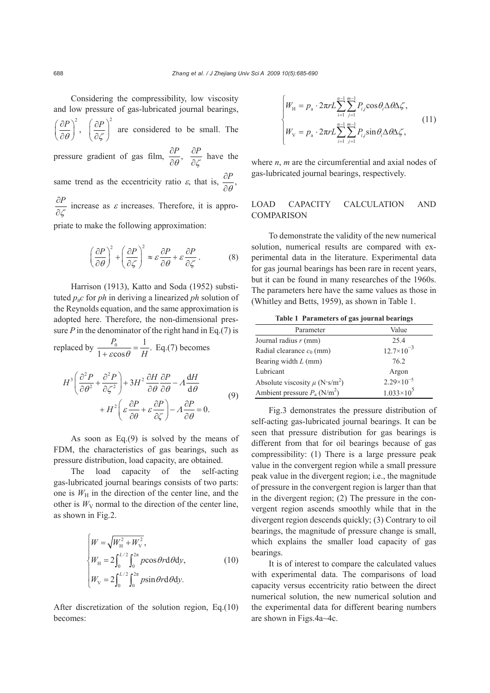Considering the compressibility, low viscosity and low pressure of gas-lubricated journal bearings,  $\left(\frac{P}{\theta}\right)^2$ ,  $( \partial P)$  $\left(\overline{\partial}\overline{\theta}\right)$  $\left|P\right\rangle^2$ ζ  $( \partial P)$  $\left(\frac{\partial F}{\partial \zeta}\right)$  are considered to be small. The pressure gradient of gas film,  $\frac{\partial P}{\partial \theta}$ , ∂ ∂ *P* ζ ∂ ∂ have the same trend as the eccentricity ratio  $\varepsilon$ , that is,  $\frac{\partial P}{\partial \theta}$ , ∂ ∂ *P* ζ ∂ ∂ increase as  $\varepsilon$  increases. Therefore, it is appropriate to make the following approximation:

$$
\left(\frac{\partial P}{\partial \theta}\right)^2 + \left(\frac{\partial P}{\partial \zeta}\right)^2 \approx \varepsilon \frac{\partial P}{\partial \theta} + \varepsilon \frac{\partial P}{\partial \zeta}.
$$
 (8)

Harrison (1913), Katto and Soda (1952) substituted  $p_a c$  for *ph* in deriving a linearized *ph* solution of the Reynolds equation, and the same approximation is adopted here. Therefore, the non-dimensional pressure  $P$  in the denominator of the right hand in Eq.(7) is replaced by  $\frac{P_0}{1 + \varepsilon \cos \theta} = \frac{1}{H}$ . Eq.(7) becomes

$$
H^3 \left( \frac{\partial^2 P}{\partial \theta^2} + \frac{\partial^2 P}{\partial \zeta^2} \right) + 3H^2 \frac{\partial H}{\partial \theta} \frac{\partial P}{\partial \theta} - \Lambda \frac{dH}{d\theta} + H^2 \left( \varepsilon \frac{\partial P}{\partial \theta} + \varepsilon \frac{\partial P}{\partial \zeta} \right) - \Lambda \frac{\partial P}{\partial \theta} = 0.
$$
 (9)

As soon as Eq.(9) is solved by the means of FDM, the characteristics of gas bearings, such as pressure distribution, load capacity, are obtained.

The load capacity of the self-acting gas-lubricated journal bearings consists of two parts: one is  $W_H$  in the direction of the center line, and the other is  $W_V$  normal to the direction of the center line, as shown in Fig.2.

$$
\begin{cases}\nW = \sqrt{W_{\rm H}^2 + W_{\rm V}^2}, \\
W_{\rm H} = 2 \int_0^{L/2} \int_0^{2\pi} p \cos \theta r \, d\theta \, dy, \\
W_{\rm V} = 2 \int_0^{L/2} \int_0^{2\pi} p \sin \theta r \, d\theta \, dy.\n\end{cases} \tag{10}
$$

After discretization of the solution region, Eq.(10) becomes:

$$
\begin{cases}\nW_{\rm H} = p_{\rm a} \cdot 2\pi r L \sum_{i=1}^{n-1} \sum_{j=1}^{m-1} P_{ij} \cos \theta_i \Delta \theta \Delta \zeta, \\
W_{\rm V} = p_{\rm a} \cdot 2\pi r L \sum_{i=1}^{n-1} \sum_{j=1}^{m-1} P_{ij} \sin \theta_i \Delta \theta \Delta \zeta,\n\end{cases} \tag{11}
$$

where *n*, *m* are the circumferential and axial nodes of gas-lubricated journal bearings, respectively.

## LOAD CAPACITY CALCULATION AND **COMPARISON**

To demonstrate the validity of the new numerical solution, numerical results are compared with experimental data in the literature. Experimental data for gas journal bearings has been rare in recent years, but it can be found in many researches of the 1960s. The parameters here have the same values as those in (Whitley and Betts, 1959), as shown in Table 1.

**Table 1 Parameters of gas journal bearings** 

| Parameter                                      | Value               |
|------------------------------------------------|---------------------|
| Journal radius $r$ (mm)                        | 25.4                |
| Radial clearance $c_0$ (mm)                    | $12.7\times10^{-3}$ |
| Bearing width $L$ (mm)                         | 76.2                |
| Lubricant                                      | Argon               |
| Absolute viscosity $\mu$ (N·s/m <sup>2</sup> ) | $2.29\times10^{-5}$ |
| Ambient pressure $P_a$ (N/m <sup>2</sup> )     | $1.033 \times 10^5$ |

Fig.3 demonstrates the pressure distribution of self-acting gas-lubricated journal bearings. It can be seen that pressure distribution for gas bearings is different from that for oil bearings because of gas compressibility: (1) There is a large pressure peak value in the convergent region while a small pressure peak value in the divergent region; i.e., the magnitude of pressure in the convergent region is larger than that in the divergent region; (2) The pressure in the convergent region ascends smoothly while that in the divergent region descends quickly; (3) Contrary to oil bearings, the magnitude of pressure change is small, which explains the smaller load capacity of gas bearings.

It is of interest to compare the calculated values with experimental data. The comparisons of load capacity versus eccentricity ratio between the direct numerical solution, the new numerical solution and the experimental data for different bearing numbers are shown in Figs.4a~4c.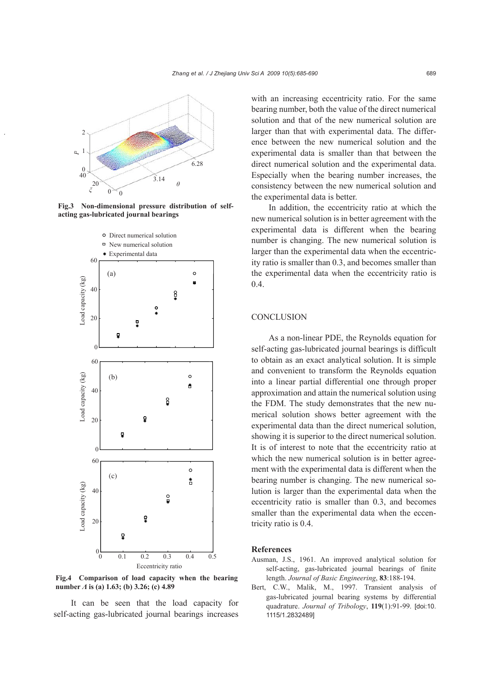

**Fig.3 Non-dimensional pressure distribution of selfacting gas-lubricated journal bearings** 



**Fig.4 Comparison of load capacity when the bearing number** *Λ* **is (a) 1.63; (b) 3.26; (c) 4.89** 

It can be seen that the load capacity for self-acting gas-lubricated journal bearings increases with an increasing eccentricity ratio. For the same bearing number, both the value of the direct numerical solution and that of the new numerical solution are larger than that with experimental data. The difference between the new numerical solution and the experimental data is smaller than that between the direct numerical solution and the experimental data. Especially when the bearing number increases, the consistency between the new numerical solution and the experimental data is better.

In addition, the eccentricity ratio at which the new numerical solution is in better agreement with the experimental data is different when the bearing number is changing. The new numerical solution is larger than the experimental data when the eccentricity ratio is smaller than 0.3, and becomes smaller than the experimental data when the eccentricity ratio is 0.4.

## **CONCLUSION**

As a non-linear PDE, the Reynolds equation for self-acting gas-lubricated journal bearings is difficult to obtain as an exact analytical solution. It is simple and convenient to transform the Reynolds equation into a linear partial differential one through proper approximation and attain the numerical solution using the FDM. The study demonstrates that the new numerical solution shows better agreement with the experimental data than the direct numerical solution, showing it is superior to the direct numerical solution. It is of interest to note that the eccentricity ratio at which the new numerical solution is in better agreement with the experimental data is different when the bearing number is changing. The new numerical solution is larger than the experimental data when the eccentricity ratio is smaller than 0.3, and becomes smaller than the experimental data when the eccentricity ratio is 0.4.

#### **References**

- Ausman, J.S., 1961. An improved analytical solution for self-acting, gas-lubricated journal bearings of finite length. *Journal of Basic Engineering*, **83**:188-194.
- Bert, C.W., Malik, M., 1997. Transient analysis of gas-lubricated journal bearing systems by differential quadrature. *Journal of Tribology*, **119**(1):91-99. [doi:10. 1115/1.2832489]